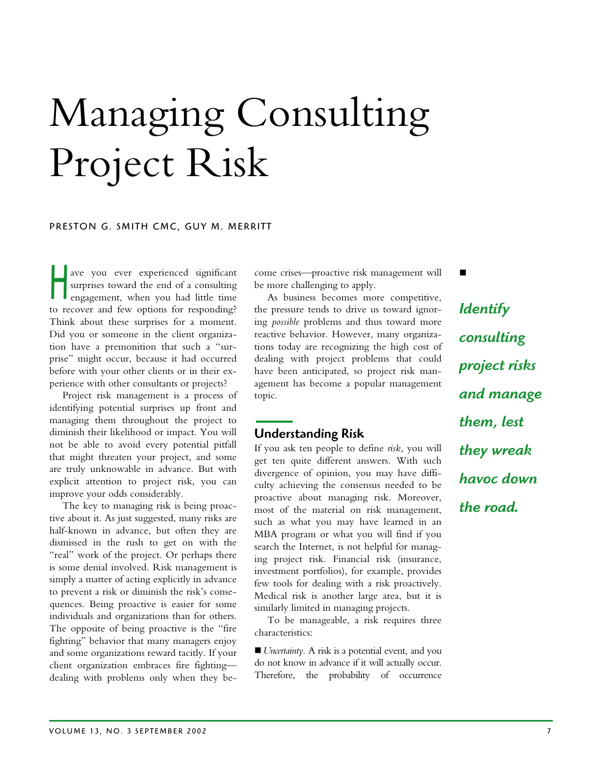# Managing Consulting Project Risk

### PRESTON G. SMITH CMC, GUY M. MERRITT

ave you ever experienced significant surprises toward the end of a consulting engagement, when you had little time to recover and few options for responding? Think about these surprises for a moment. Did you or someone in the client organization have a premonition that such a "surprise" might occur, because it had occurred before with your other clients or in their experience with other consultants or projects?  $\overline{\Pi}$ 

Project risk management is a process of identifying potential surprises up front and managing them throughout the project to diminish their likelihood or impact. You will not be able to avoid every potential pitfall that might threaten your project, and some are truly unknowable in advance. But with explicit attention to project risk, you can improve your odds considerably.

The key to managing risk is being proactive about it. As just suggested, many risks are half-known in advance, but often they are dismissed in the rush to get on with the "real" work of the project. Or perhaps there is some denial involved. Risk management is simply a matter of acting explicitly in advance to prevent a risk or diminish the risk's consequences. Being proactive is easier for some individuals and organizations than for others. The opposite of being proactive is the "fire fighting" behavior that many managers enjoy and some organizations reward tacitly. If your client organization embraces fire fighting dealing with problems only when they become crises—proactive risk management will be more challenging to apply.

As business becomes more competitive, the pressure tends to drive us toward ignoring *possible* problems and thus toward more reactive behavior. However, many organizations today are recognizing the high cost of dealing with project problems that could have been anticipated, so project risk management has become a popular management topic.

## Understanding Risk

If you ask ten people to define *risk,* you will get ten quite different answers. With such divergence of opinion, you may have difficulty achieving the consensus needed to be proactive about managing risk. Moreover, most of the material on risk management, such as what you may have learned in an MBA program or what you will find if you search the Internet, is not helpful for managing project risk. Financial risk (insurance, investment portfolios), for example, provides few tools for dealing with a risk proactively. Medical risk is another large area, but it is similarly limited in managing projects.

To be manageable, a risk requires three characteristics:

■ *Uncertainty*. A risk is a potential event, and you do not know in advance if it will actually occur. Therefore, the probability of occurrence

*Identify consulting project risks and manage them, lest they wreak havoc down the road*

п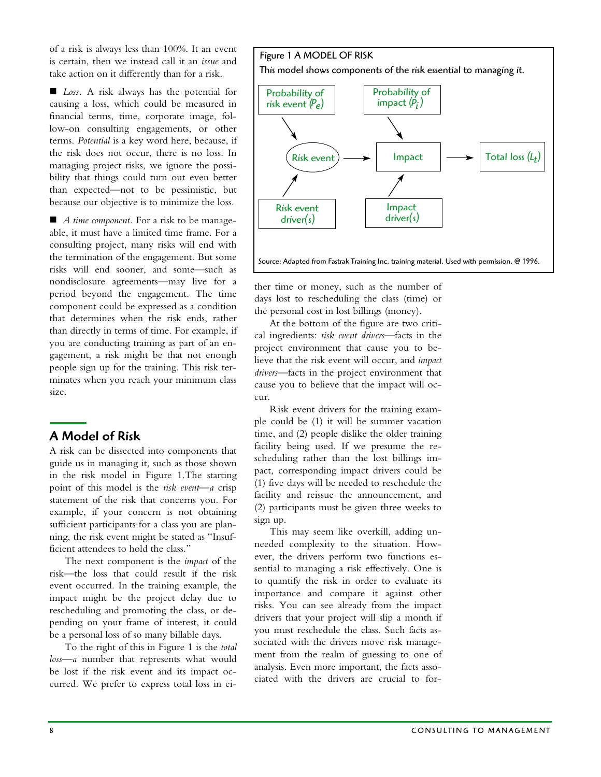of a risk is always less than 100%. It an event is certain, then we instead call it an *issue* and take action on it differently than for a risk.

■ *Loss*. A risk always has the potential for causing a loss, which could be measured in financial terms, time, corporate image, follow-on consulting engagements, or other terms. *Potential* is a key word here, because, if the risk does not occur, there is no loss. In managing project risks, we ignore the possibility that things could turn out even better than expected—not to be pessimistic, but because our objective is to minimize the loss.

■ *A time component*. For a risk to be manageable, it must have a limited time frame. For a consulting project, many risks will end with the termination of the engagement. But some risks will end sooner, and some—such as nondisclosure agreements—may live for a period beyond the engagement. The time component could be expressed as a condition that determines when the risk ends, rather than directly in terms of time. For example, if you are conducting training as part of an engagement, a risk might be that not enough people sign up for the training. This risk terminates when you reach your minimum class size.

# A Model of Risk

A risk can be dissected into components that guide us in managing it, such as those shown in the risk model in Figure 1.The starting point of this model is the *risk event—a* crisp statement of the risk that concerns you. For example, if your concern is not obtaining sufficient participants for a class you are planning, the risk event might be stated as "Insufficient attendees to hold the class."

The next component is the *impact* of the risk—the loss that could result if the risk event occurred. In the training example, the impact might be the project delay due to rescheduling and promoting the class, or depending on your frame of interest, it could be a personal loss of so many billable days.

To the right of this in Figure 1 is the *total loss—a* number that represents what would be lost if the risk event and its impact occurred. We prefer to express total loss in ei-



ther time or money, such as the number of days lost to rescheduling the class (time) or the personal cost in lost billings (money).

At the bottom of the figure are two critical ingredients: *risk event drivers*—facts in the project environment that cause you to believe that the risk event will occur, and *impact drivers—*facts in the project environment that cause you to believe that the impact will occur.

Risk event drivers for the training example could be (1) it will be summer vacation time, and (2) people dislike the older training facility being used. If we presume the rescheduling rather than the lost billings impact, corresponding impact drivers could be (1) five days will be needed to reschedule the facility and reissue the announcement, and (2) participants must be given three weeks to sign up.

This may seem like overkill, adding unneeded complexity to the situation. However, the drivers perform two functions essential to managing a risk effectively. One is to quantify the risk in order to evaluate its importance and compare it against other risks. You can see already from the impact drivers that your project will slip a month if you must reschedule the class. Such facts associated with the drivers move risk management from the realm of guessing to one of analysis. Even more important, the facts associated with the drivers are crucial to for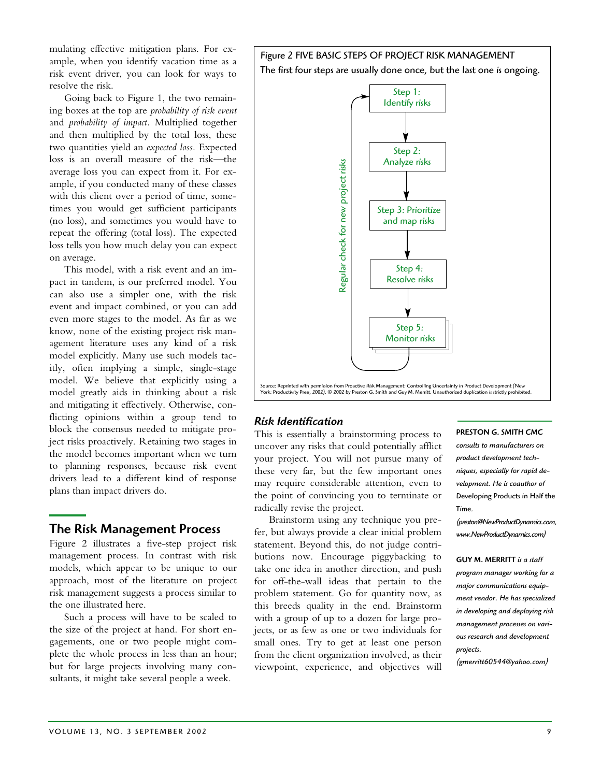mulating effective mitigation plans. For example, when you identify vacation time as a risk event driver, you can look for ways to resolve the risk.

Going back to Figure 1, the two remaining boxes at the top are *probability of risk event*  and *probability of impact.* Multiplied together and then multiplied by the total loss, these two quantities yield an *expected loss.* Expected loss is an overall measure of the risk—the average loss you can expect from it. For example, if you conducted many of these classes with this client over a period of time, sometimes you would get sufficient participants (no loss), and sometimes you would have to repeat the offering (total loss). The expected loss tells you how much delay you can expect on average.

This model, with a risk event and an impact in tandem, is our preferred model. You can also use a simpler one, with the risk event and impact combined, or you can add even more stages to the model. As far as we know, none of the existing project risk management literature uses any kind of a risk model explicitly. Many use such models tacitly, often implying a simple, single-stage model. We believe that explicitly using a model greatly aids in thinking about a risk and mitigating it effectively. Otherwise, conflicting opinions within a group tend to block the consensus needed to mitigate project risks proactively. Retaining two stages in the model becomes important when we turn to planning responses, because risk event drivers lead to a different kind of response plans than impact drivers do.

## The Risk Management Process

Figure 2 illustrates a five-step project risk management process. In contrast with risk models, which appear to be unique to our approach, most of the literature on project risk management suggests a process similar to the one illustrated here.

Such a process will have to be scaled to the size of the project at hand. For short engagements, one or two people might complete the whole process in less than an hour; but for large projects involving many consultants, it might take several people a week.

## Figure 2 FIVE BASIC STEPS OF PROJECT RISK MANAGEMENT The first four steps are usually done once, but the last one is ongoing.



## *Risk Identification*

This is essentially a brainstorming process to uncover any risks that could potentially afflict your project. You will not pursue many of these very far, but the few important ones may require considerable attention, even to the point of convincing you to terminate or radically revise the project.

Brainstorm using any technique you prefer, but always provide a clear initial problem statement. Beyond this, do not judge contributions now. Encourage piggybacking to take one idea in another direction, and push for off-the-wall ideas that pertain to the problem statement. Go for quantity now, as this breeds quality in the end. Brainstorm with a group of up to a dozen for large projects, or as few as one or two individuals for small ones. Try to get at least one person from the client organization involved, as their viewpoint, experience, and objectives will

#### PRESTON G. SMITH CMC

*consults to manufacturers on product development techniques, especially for rapid development. He is coauthor of*  Developing Products in Half the Time*.*

*(preston@NewProductDynamics.com, www.NewProductDynamics.com)* 

#### GUY M. MERRITT *is a staff*

*program manager working for a major communications equipment vendor. He has specialized in developing and deploying risk management processes on various research and development projects.*

*(gmerritt60544@yahoo.com)*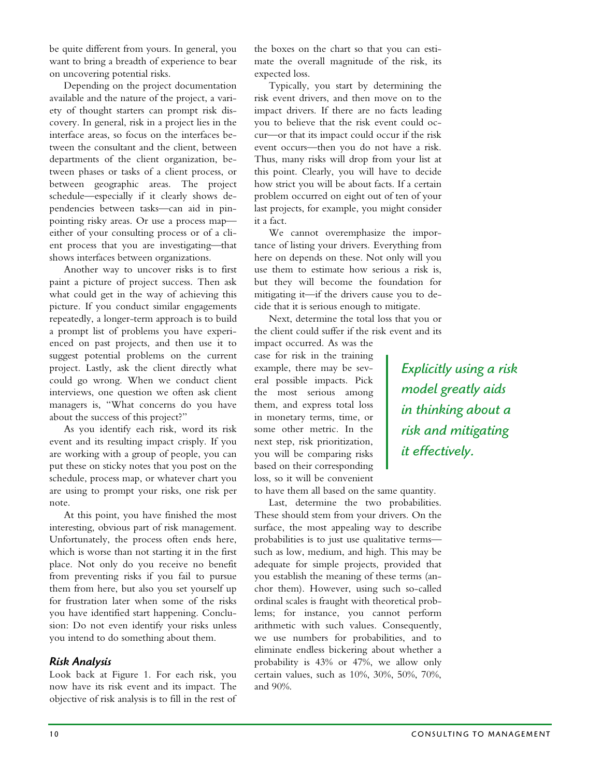be quite different from yours. In general, you want to bring a breadth of experience to bear on uncovering potential risks.

Depending on the project documentation available and the nature of the project, a variety of thought starters can prompt risk discovery. In general, risk in a project lies in the interface areas, so focus on the interfaces between the consultant and the client, between departments of the client organization, between phases or tasks of a client process, or between geographic areas. The project schedule—especially if it clearly shows dependencies between tasks—can aid in pinpointing risky areas. Or use a process map either of your consulting process or of a client process that you are investigating—that shows interfaces between organizations.

Another way to uncover risks is to first paint a picture of project success. Then ask what could get in the way of achieving this picture. If you conduct similar engagements repeatedly, a longer-term approach is to build a prompt list of problems you have experienced on past projects, and then use it to suggest potential problems on the current project. Lastly, ask the client directly what could go wrong. When we conduct client interviews, one question we often ask client managers is, "What concerns do you have about the success of this project?"

As you identify each risk, word its risk event and its resulting impact crisply. If you are working with a group of people, you can put these on sticky notes that you post on the schedule, process map, or whatever chart you are using to prompt your risks, one risk per note.

At this point, you have finished the most interesting, obvious part of risk management. Unfortunately, the process often ends here, which is worse than not starting it in the first place. Not only do you receive no benefit from preventing risks if you fail to pursue them from here, but also you set yourself up for frustration later when some of the risks you have identified start happening. Conclusion: Do not even identify your risks unless you intend to do something about them.

## *Risk Analysis*

Look back at Figure 1. For each risk, you now have its risk event and its impact. The objective of risk analysis is to fill in the rest of the boxes on the chart so that you can estimate the overall magnitude of the risk, its expected loss.

Typically, you start by determining the risk event drivers, and then move on to the impact drivers. If there are no facts leading you to believe that the risk event could occur—or that its impact could occur if the risk event occurs—then you do not have a risk. Thus, many risks will drop from your list at this point. Clearly, you will have to decide how strict you will be about facts. If a certain problem occurred on eight out of ten of your last projects, for example, you might consider it a fact.

We cannot overemphasize the importance of listing your drivers. Everything from here on depends on these. Not only will you use them to estimate how serious a risk is, but they will become the foundation for mitigating it—if the drivers cause you to decide that it is serious enough to mitigate.

Next, determine the total loss that you or the client could suffer if the risk event and its

impact occurred. As was the case for risk in the training example, there may be several possible impacts. Pick the most serious among them, and express total loss in monetary terms, time, or some other metric. In the next step, risk prioritization, you will be comparing risks based on their corresponding loss, so it will be convenient

to have them all based on the same quantity.

Last, determine the two probabilities. These should stem from your drivers. On the surface, the most appealing way to describe probabilities is to just use qualitative terms such as low, medium, and high. This may be adequate for simple projects, provided that you establish the meaning of these terms (anchor them). However, using such so-called ordinal scales is fraught with theoretical problems; for instance, you cannot perform arithmetic with such values. Consequently, we use numbers for probabilities, and to eliminate endless bickering about whether a probability is 43% or 47%, we allow only certain values, such as 10%, 30%, 50%, 70%, and 90%.

*Explicitly using a risk model greatly aids in thinking about a risk and mitigating it effectively.*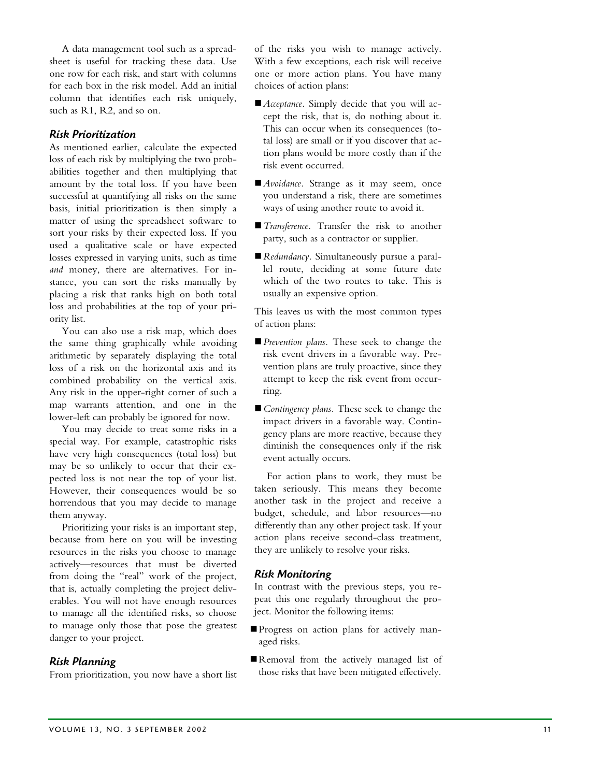A data management tool such as a spreadsheet is useful for tracking these data. Use one row for each risk, and start with columns for each box in the risk model. Add an initial column that identifies each risk uniquely, such as R1, R2, and so on.

## *Risk Prioritization*

As mentioned earlier, calculate the expected loss of each risk by multiplying the two probabilities together and then multiplying that amount by the total loss. If you have been successful at quantifying all risks on the same basis, initial prioritization is then simply a matter of using the spreadsheet software to sort your risks by their expected loss. If you used a qualitative scale or have expected losses expressed in varying units, such as time *and* money, there are alternatives. For instance, you can sort the risks manually by placing a risk that ranks high on both total loss and probabilities at the top of your priority list.

You can also use a risk map, which does the same thing graphically while avoiding arithmetic by separately displaying the total loss of a risk on the horizontal axis and its combined probability on the vertical axis. Any risk in the upper-right corner of such a map warrants attention, and one in the lower-left can probably be ignored for now.

You may decide to treat some risks in a special way. For example, catastrophic risks have very high consequences (total loss) but may be so unlikely to occur that their expected loss is not near the top of your list. However, their consequences would be so horrendous that you may decide to manage them anyway.

Prioritizing your risks is an important step, because from here on you will be investing resources in the risks you choose to manage actively—resources that must be diverted from doing the "real" work of the project, that is, actually completing the project deliverables. You will not have enough resources to manage all the identified risks, so choose to manage only those that pose the greatest danger to your project.

## *Risk Planning*

From prioritization, you now have a short list

of the risks you wish to manage actively. With a few exceptions, each risk will receive one or more action plans. You have many choices of action plans:

- -*Acceptance.* Simply decide that you will accept the risk, that is, do nothing about it. This can occur when its consequences (total loss) are small or if you discover that action plans would be more costly than if the risk event occurred.
- Avoidance. Strange as it may seem, once you understand a risk, there are sometimes ways of using another route to avoid it.
- -*Transference.* Transfer the risk to another party, such as a contractor or supplier.
- -*Redundancy.* Simultaneously pursue a parallel route, deciding at some future date which of the two routes to take. This is usually an expensive option.

This leaves us with the most common types of action plans:

- -*Prevention plans.* These seek to change the risk event drivers in a favorable way. Prevention plans are truly proactive, since they attempt to keep the risk event from occurring.
- *Contingency plans*. These seek to change the impact drivers in a favorable way. Contingency plans are more reactive, because they diminish the consequences only if the risk event actually occurs.

For action plans to work, they must be taken seriously. This means they become another task in the project and receive a budget, schedule, and labor resources—no differently than any other project task. If your action plans receive second-class treatment, they are unlikely to resolve your risks.

## *Risk Monitoring*

In contrast with the previous steps, you repeat this one regularly throughout the project. Monitor the following items:

- -Progress on action plans for actively managed risks.
- Removal from the actively managed list of those risks that have been mitigated effectively.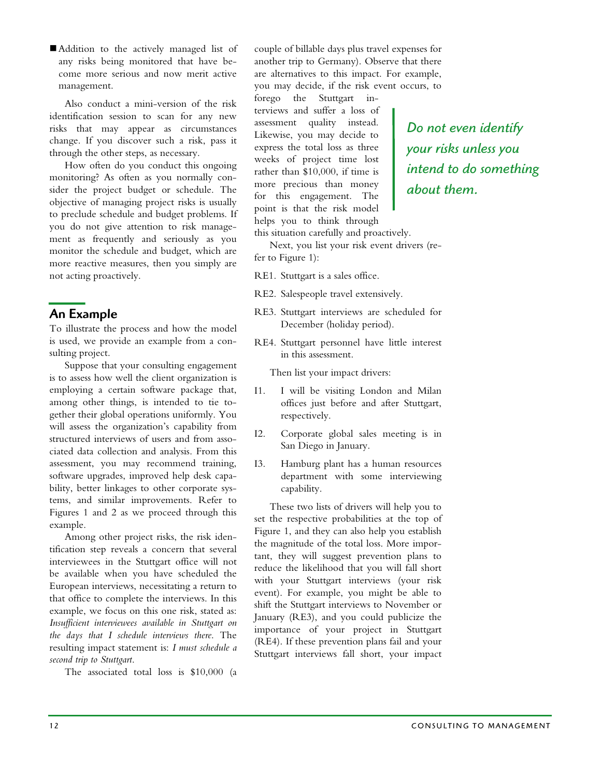Addition to the actively managed list of any risks being monitored that have become more serious and now merit active management.

Also conduct a mini-version of the risk identification session to scan for any new risks that may appear as circumstances change. If you discover such a risk, pass it through the other steps, as necessary.

How often do you conduct this ongoing monitoring? As often as you normally consider the project budget or schedule. The objective of managing project risks is usually to preclude schedule and budget problems. If you do not give attention to risk management as frequently and seriously as you monitor the schedule and budget, which are more reactive measures, then you simply are not acting proactively.

## An Example

To illustrate the process and how the model is used, we provide an example from a consulting project.

Suppose that your consulting engagement is to assess how well the client organization is employing a certain software package that, among other things, is intended to tie together their global operations uniformly. You will assess the organization's capability from structured interviews of users and from associated data collection and analysis. From this assessment, you may recommend training, software upgrades, improved help desk capability, better linkages to other corporate systems, and similar improvements. Refer to Figures 1 and 2 as we proceed through this example.

Among other project risks, the risk identification step reveals a concern that several interviewees in the Stuttgart office will not be available when you have scheduled the European interviews, necessitating a return to that office to complete the interviews. In this example, we focus on this one risk, stated as: *Insufficient interviewees available in Stuttgart on the days that I schedule interviews there*. The resulting impact statement is: *I must schedule a second trip to Stuttgart*.

The associated total loss is \$10,000 (a

couple of billable days plus travel expenses for another trip to Germany). Observe that there are alternatives to this impact. For example, you may decide, if the risk event occurs, to

forego the Stuttgart interviews and suffer a loss of assessment quality instead. Likewise, you may decide to express the total loss as three weeks of project time lost rather than \$10,000, if time is more precious than money for this engagement. The point is that the risk model helps you to think through

*Do not even identify your risks unless you intend to do something about them.* 

this situation carefully and proactively.

Next, you list your risk event drivers (refer to Figure 1):

RE1. Stuttgart is a sales office.

- RE2. Salespeople travel extensively.
- RE3. Stuttgart interviews are scheduled for December (holiday period).
- RE4. Stuttgart personnel have little interest in this assessment.

Then list your impact drivers:

- I1. I will be visiting London and Milan offices just before and after Stuttgart, respectively.
- I2. Corporate global sales meeting is in San Diego in January.
- I3. Hamburg plant has a human resources department with some interviewing capability.

These two lists of drivers will help you to set the respective probabilities at the top of Figure 1, and they can also help you establish the magnitude of the total loss. More important, they will suggest prevention plans to reduce the likelihood that you will fall short with your Stuttgart interviews (your risk event). For example, you might be able to shift the Stuttgart interviews to November or January (RE3), and you could publicize the importance of your project in Stuttgart (RE4). If these prevention plans fail and your Stuttgart interviews fall short, your impact